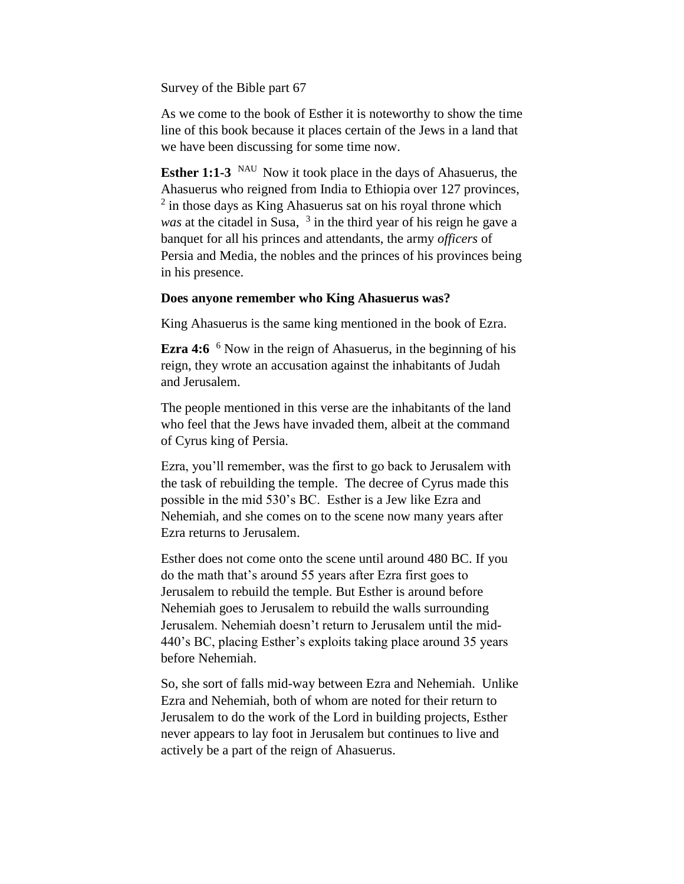Survey of the Bible part 67

As we come to the book of Esther it is noteworthy to show the time line of this book because it places certain of the Jews in a land that we have been discussing for some time now.

**Esther 1:1-3** <sup>NAU</sup> Now it took place in the days of Ahasuerus, the Ahasuerus who reigned from India to Ethiopia over 127 provinces, <sup>2</sup> in those days as King Ahasuerus sat on his royal throne which was at the citadel in Susa, <sup>3</sup> in the third year of his reign he gave a banquet for all his princes and attendants, the army *officers* of Persia and Media, the nobles and the princes of his provinces being in his presence.

# **Does anyone remember who King Ahasuerus was?**

King Ahasuerus is the same king mentioned in the book of Ezra.

**Ezra 4:6** <sup>6</sup> Now in the reign of Ahasuerus, in the beginning of his reign, they wrote an accusation against the inhabitants of Judah and Jerusalem.

The people mentioned in this verse are the inhabitants of the land who feel that the Jews have invaded them, albeit at the command of Cyrus king of Persia.

Ezra, you'll remember, was the first to go back to Jerusalem with the task of rebuilding the temple. The decree of Cyrus made this possible in the mid 530's BC. Esther is a Jew like Ezra and Nehemiah, and she comes on to the scene now many years after Ezra returns to Jerusalem.

Esther does not come onto the scene until around 480 BC. If you do the math that's around 55 years after Ezra first goes to Jerusalem to rebuild the temple. But Esther is around before Nehemiah goes to Jerusalem to rebuild the walls surrounding Jerusalem. Nehemiah doesn't return to Jerusalem until the mid-440's BC, placing Esther's exploits taking place around 35 years before Nehemiah.

So, she sort of falls mid-way between Ezra and Nehemiah. Unlike Ezra and Nehemiah, both of whom are noted for their return to Jerusalem to do the work of the Lord in building projects, Esther never appears to lay foot in Jerusalem but continues to live and actively be a part of the reign of Ahasuerus.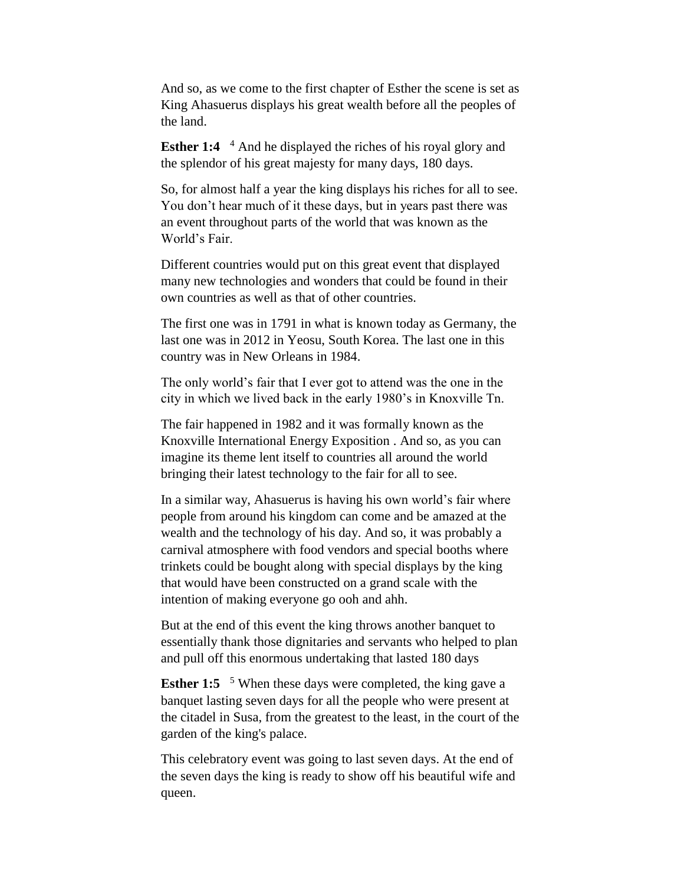And so, as we come to the first chapter of Esther the scene is set as King Ahasuerus displays his great wealth before all the peoples of the land.

**Esther 1:4** <sup>4</sup> And he displayed the riches of his royal glory and the splendor of his great majesty for many days, 180 days.

So, for almost half a year the king displays his riches for all to see. You don't hear much of it these days, but in years past there was an event throughout parts of the world that was known as the World's Fair.

Different countries would put on this great event that displayed many new technologies and wonders that could be found in their own countries as well as that of other countries.

The first one was in 1791 in what is known today as Germany, the last one was in 2012 in Yeosu, South Korea. The last one in this country was in New Orleans in 1984.

The only world's fair that I ever got to attend was the one in the city in which we lived back in the early 1980's in Knoxville Tn.

The fair happened in 1982 and it was formally known as the Knoxville International Energy Exposition . And so, as you can imagine its theme lent itself to countries all around the world bringing their latest technology to the fair for all to see.

In a similar way, Ahasuerus is having his own world's fair where people from around his kingdom can come and be amazed at the wealth and the technology of his day. And so, it was probably a carnival atmosphere with food vendors and special booths where trinkets could be bought along with special displays by the king that would have been constructed on a grand scale with the intention of making everyone go ooh and ahh.

But at the end of this event the king throws another banquet to essentially thank those dignitaries and servants who helped to plan and pull off this enormous undertaking that lasted 180 days

**Esther 1:5** <sup>5</sup> When these days were completed, the king gave a banquet lasting seven days for all the people who were present at the citadel in Susa, from the greatest to the least, in the court of the garden of the king's palace.

This celebratory event was going to last seven days. At the end of the seven days the king is ready to show off his beautiful wife and queen.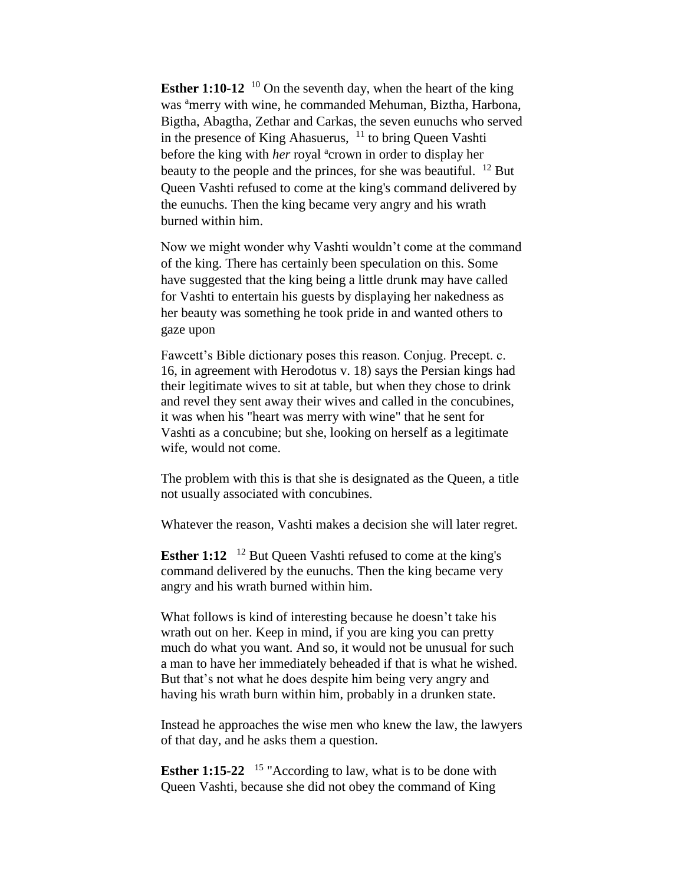**Esther 1:10-12** <sup>10</sup> On the seventh day, when the heart of the king was <sup>a</sup>merry with wine, he commanded Mehuman, Biztha, Harbona, Bigtha, Abagtha, Zethar and Carkas, the seven eunuchs who served in the presence of King Ahasuerus,  $11$  to bring Queen Vashti before the king with *her* royal <sup>a</sup>crown in order to display her beauty to the people and the princes, for she was beautiful.  $^{12}$  But Queen Vashti refused to come at the king's command delivered by the eunuchs. Then the king became very angry and his wrath burned within him.

Now we might wonder why Vashti wouldn't come at the command of the king. There has certainly been speculation on this. Some have suggested that the king being a little drunk may have called for Vashti to entertain his guests by displaying her nakedness as her beauty was something he took pride in and wanted others to gaze upon

Fawcett's Bible dictionary poses this reason. Conjug. Precept. c. 16, in agreement with Herodotus v. 18) says the Persian kings had their legitimate wives to sit at table, but when they chose to drink and revel they sent away their wives and called in the concubines, it was when his "heart was merry with wine" that he sent for Vashti as a concubine; but she, looking on herself as a legitimate wife, would not come.

The problem with this is that she is designated as the Queen, a title not usually associated with concubines.

Whatever the reason, Vashti makes a decision she will later regret.

**Esther 1:12** <sup>12</sup> But Queen Vashti refused to come at the king's command delivered by the eunuchs. Then the king became very angry and his wrath burned within him.

What follows is kind of interesting because he doesn't take his wrath out on her. Keep in mind, if you are king you can pretty much do what you want. And so, it would not be unusual for such a man to have her immediately beheaded if that is what he wished. But that's not what he does despite him being very angry and having his wrath burn within him, probably in a drunken state.

Instead he approaches the wise men who knew the law, the lawyers of that day, and he asks them a question.

**Esther 1:15-22** <sup>15</sup> "According to law, what is to be done with Queen Vashti, because she did not obey the command of King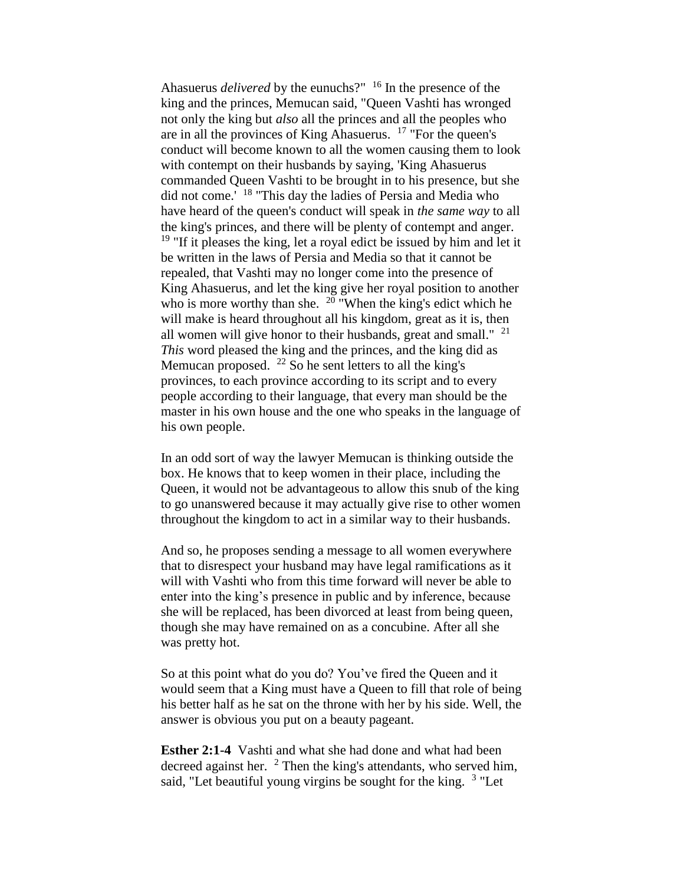Ahasuerus *delivered* by the eunuchs?" <sup>16</sup> In the presence of the king and the princes, Memucan said, "Queen Vashti has wronged not only the king but *also* all the princes and all the peoples who are in all the provinces of King Ahasuerus. <sup>17</sup> "For the queen's conduct will become known to all the women causing them to look with contempt on their husbands by saying, 'King Ahasuerus commanded Queen Vashti to be brought in to his presence, but she did not come.' <sup>18</sup> "This day the ladies of Persia and Media who have heard of the queen's conduct will speak in *the same way* to all the king's princes, and there will be plenty of contempt and anger.  $19$  "If it pleases the king, let a royal edict be issued by him and let it be written in the laws of Persia and Media so that it cannot be repealed, that Vashti may no longer come into the presence of King Ahasuerus, and let the king give her royal position to another who is more worthy than she.  $^{20}$  "When the king's edict which he will make is heard throughout all his kingdom, great as it is, then all women will give honor to their husbands, great and small."  $21$ *This* word pleased the king and the princes, and the king did as Memucan proposed. <sup>22</sup> So he sent letters to all the king's provinces, to each province according to its script and to every people according to their language, that every man should be the master in his own house and the one who speaks in the language of his own people.

In an odd sort of way the lawyer Memucan is thinking outside the box. He knows that to keep women in their place, including the Queen, it would not be advantageous to allow this snub of the king to go unanswered because it may actually give rise to other women throughout the kingdom to act in a similar way to their husbands.

And so, he proposes sending a message to all women everywhere that to disrespect your husband may have legal ramifications as it will with Vashti who from this time forward will never be able to enter into the king's presence in public and by inference, because she will be replaced, has been divorced at least from being queen, though she may have remained on as a concubine. After all she was pretty hot.

So at this point what do you do? You've fired the Queen and it would seem that a King must have a Queen to fill that role of being his better half as he sat on the throne with her by his side. Well, the answer is obvious you put on a beauty pageant.

**Esther 2:1-4** Vashti and what she had done and what had been decreed against her. <sup>2</sup> Then the king's attendants, who served him, said, "Let beautiful young virgins be sought for the king. <sup>3</sup> "Let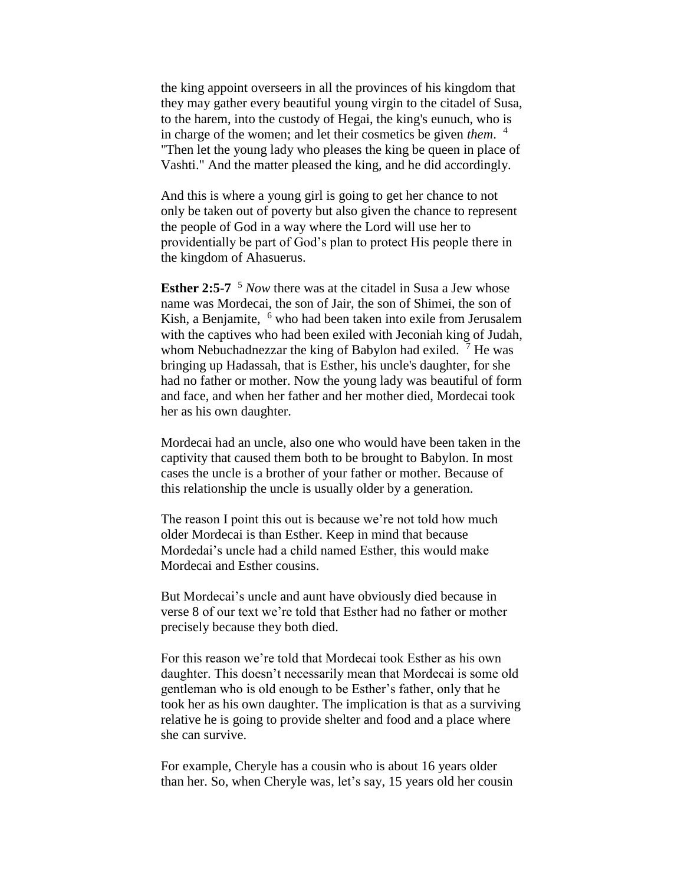the king appoint overseers in all the provinces of his kingdom that they may gather every beautiful young virgin to the citadel of Susa, to the harem, into the custody of Hegai, the king's eunuch, who is in charge of the women; and let their cosmetics be given *them*. 4 "Then let the young lady who pleases the king be queen in place of Vashti." And the matter pleased the king, and he did accordingly.

And this is where a young girl is going to get her chance to not only be taken out of poverty but also given the chance to represent the people of God in a way where the Lord will use her to providentially be part of God's plan to protect His people there in the kingdom of Ahasuerus.

**Esther 2:5-7** <sup>5</sup> *Now* there was at the citadel in Susa a Jew whose name was Mordecai, the son of Jair, the son of Shimei, the son of Kish, a Benjamite, <sup>6</sup> who had been taken into exile from Jerusalem with the captives who had been exiled with Jeconiah king of Judah, whom Nebuchadnezzar the king of Babylon had exiled.  $<sup>7</sup>$  He was</sup> bringing up Hadassah, that is Esther, his uncle's daughter, for she had no father or mother. Now the young lady was beautiful of form and face, and when her father and her mother died, Mordecai took her as his own daughter.

Mordecai had an uncle, also one who would have been taken in the captivity that caused them both to be brought to Babylon. In most cases the uncle is a brother of your father or mother. Because of this relationship the uncle is usually older by a generation.

The reason I point this out is because we're not told how much older Mordecai is than Esther. Keep in mind that because Mordedai's uncle had a child named Esther, this would make Mordecai and Esther cousins.

But Mordecai's uncle and aunt have obviously died because in verse 8 of our text we're told that Esther had no father or mother precisely because they both died.

For this reason we're told that Mordecai took Esther as his own daughter. This doesn't necessarily mean that Mordecai is some old gentleman who is old enough to be Esther's father, only that he took her as his own daughter. The implication is that as a surviving relative he is going to provide shelter and food and a place where she can survive.

For example, Cheryle has a cousin who is about 16 years older than her. So, when Cheryle was, let's say, 15 years old her cousin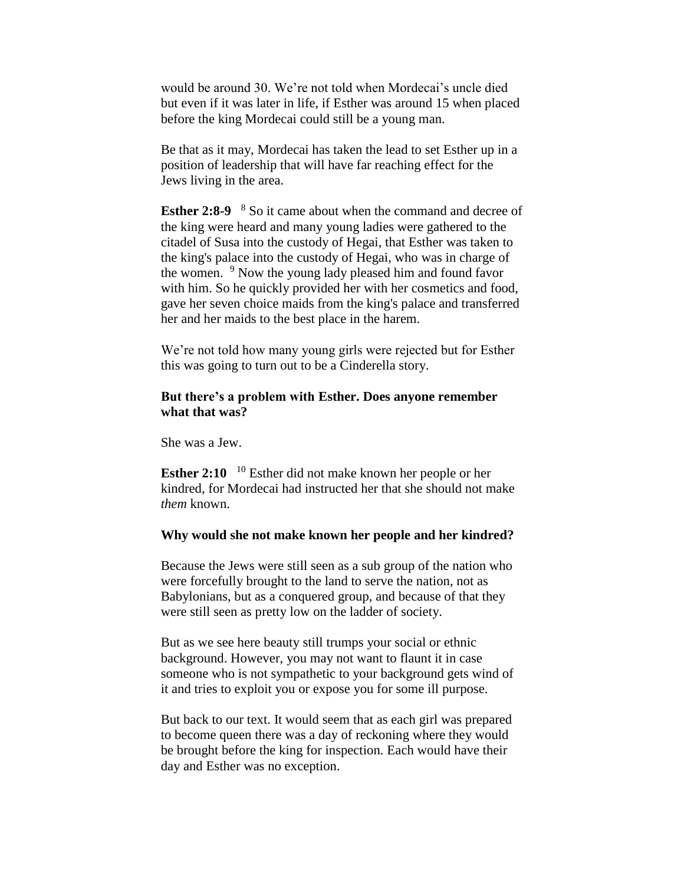would be around 30. We're not told when Mordecai's uncle died but even if it was later in life, if Esther was around 15 when placed before the king Mordecai could still be a young man.

Be that as it may, Mordecai has taken the lead to set Esther up in a position of leadership that will have far reaching effect for the Jews living in the area.

**Esther 2:8-9** <sup>8</sup> So it came about when the command and decree of the king were heard and many young ladies were gathered to the citadel of Susa into the custody of Hegai, that Esther was taken to the king's palace into the custody of Hegai, who was in charge of the women. <sup>9</sup> Now the young lady pleased him and found favor with him. So he quickly provided her with her cosmetics and food, gave her seven choice maids from the king's palace and transferred her and her maids to the best place in the harem.

We're not told how many young girls were rejected but for Esther this was going to turn out to be a Cinderella story.

# **But there's a problem with Esther. Does anyone remember what that was?**

She was a Jew.

**Esther 2:10** <sup>10</sup> Esther did not make known her people or her kindred, for Mordecai had instructed her that she should not make *them* known.

### **Why would she not make known her people and her kindred?**

Because the Jews were still seen as a sub group of the nation who were forcefully brought to the land to serve the nation, not as Babylonians, but as a conquered group, and because of that they were still seen as pretty low on the ladder of society.

But as we see here beauty still trumps your social or ethnic background. However, you may not want to flaunt it in case someone who is not sympathetic to your background gets wind of it and tries to exploit you or expose you for some ill purpose.

But back to our text. It would seem that as each girl was prepared to become queen there was a day of reckoning where they would be brought before the king for inspection. Each would have their day and Esther was no exception.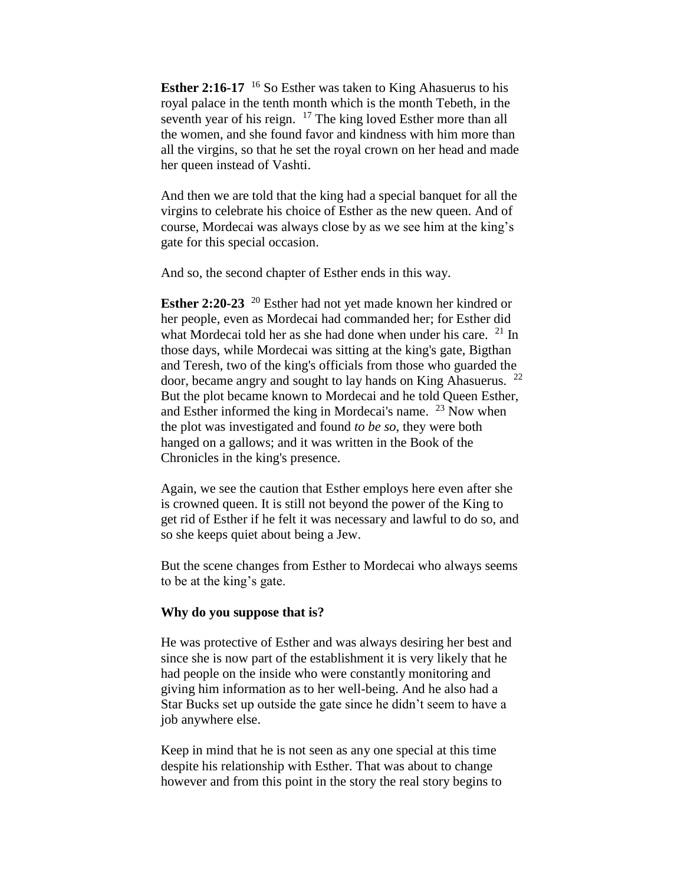**Esther 2:16-17** <sup>16</sup> So Esther was taken to King Ahasuerus to his royal palace in the tenth month which is the month Tebeth, in the seventh year of his reign.  $17$  The king loved Esther more than all the women, and she found favor and kindness with him more than all the virgins, so that he set the royal crown on her head and made her queen instead of Vashti.

And then we are told that the king had a special banquet for all the virgins to celebrate his choice of Esther as the new queen. And of course, Mordecai was always close by as we see him at the king's gate for this special occasion.

And so, the second chapter of Esther ends in this way.

**Esther 2:20-23** <sup>20</sup> Esther had not yet made known her kindred or her people, even as Mordecai had commanded her; for Esther did what Mordecai told her as she had done when under his care.  $21$  In those days, while Mordecai was sitting at the king's gate, Bigthan and Teresh, two of the king's officials from those who guarded the door, became angry and sought to lay hands on King Ahasuerus. <sup>22</sup> But the plot became known to Mordecai and he told Queen Esther, and Esther informed the king in Mordecai's name.  $^{23}$  Now when the plot was investigated and found *to be so*, they were both hanged on a gallows; and it was written in the Book of the Chronicles in the king's presence.

Again, we see the caution that Esther employs here even after she is crowned queen. It is still not beyond the power of the King to get rid of Esther if he felt it was necessary and lawful to do so, and so she keeps quiet about being a Jew.

But the scene changes from Esther to Mordecai who always seems to be at the king's gate.

#### **Why do you suppose that is?**

He was protective of Esther and was always desiring her best and since she is now part of the establishment it is very likely that he had people on the inside who were constantly monitoring and giving him information as to her well-being. And he also had a Star Bucks set up outside the gate since he didn't seem to have a job anywhere else.

Keep in mind that he is not seen as any one special at this time despite his relationship with Esther. That was about to change however and from this point in the story the real story begins to